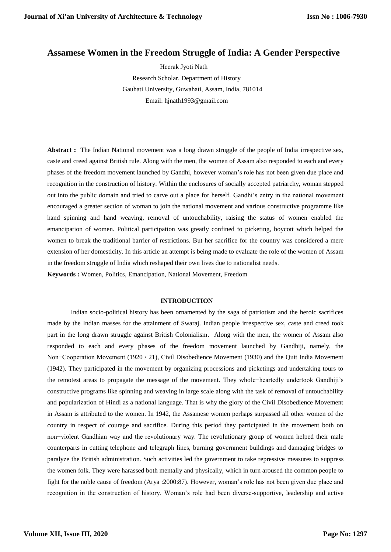# **Assamese Women in the Freedom Struggle of India: A Gender Perspective**

 Heerak Jyoti Nath Research Scholar, Department of History Gauhati University, Guwahati, Assam, India, 781014 Email: hjnath1993@gmail.com

Abstract : The Indian National movement was a long drawn struggle of the people of India irrespective sex, caste and creed against British rule. Along with the men, the women of Assam also responded to each and every phases of the freedom movement launched by Gandhi, however woman's role has not been given due place and recognition in the construction of history. Within the enclosures of socially accepted patriarchy, woman stepped out into the public domain and tried to carve out a place for herself. Gandhi's entry in the national movement encouraged a greater section of woman to join the national movement and various constructive programme like hand spinning and hand weaving, removal of untouchability, raising the status of women enabled the emancipation of women. Political participation was greatly confined to picketing, boycott which helped the women to break the traditional barrier of restrictions. But her sacrifice for the country was considered a mere extension of her domesticity. In this article an attempt is being made to evaluate the role of the women of Assam in the freedom struggle of India which reshaped their own lives due to nationalist needs.

**Keywords :** Women, Politics, Emancipation, National Movement, Freedom

### **INTRODUCTION**

Indian socio-political history has been ornamented by the saga of patriotism and the heroic sacrifices made by the Indian masses for the attainment of Swaraj. Indian people irrespective sex, caste and creed took part in the long drawn struggle against British Colonialism. Along with the men, the women of Assam also responded to each and every phases of the freedom movement launched by Gandhiji, namely, the Non−Cooperation Movement (1920 / 21), Civil Disobedience Movement (1930) and the Quit India Movement (1942). They participated in the movement by organizing processions and picketings and undertaking tours to the remotest areas to propagate the message of the movement. They whole−heartedly undertook Gandhiji's constructive programs like spinning and weaving in large scale along with the task of removal of untouchability and popularization of Hindi as a national language. That is why the glory of the Civil Disobedience Movement in Assam is attributed to the women. In 1942, the Assamese women perhaps surpassed all other women of the country in respect of courage and sacrifice. During this period they participated in the movement both on non−violent Gandhian way and the revolutionary way. The revolutionary group of women helped their male counterparts in cutting telephone and telegraph lines, burning government buildings and damaging bridges to paralyze the British administration. Such activities led the government to take repressive measures to suppress the women folk. They were harassed both mentally and physically, which in turn aroused the common people to fight for the noble cause of freedom (Arya :2000:87). However, woman's role has not been given due place and recognition in the construction of history. Woman's role had been diverse-supportive, leadership and active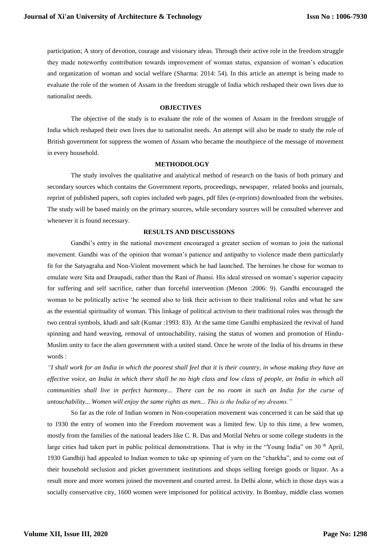participation; A story of devotion, courage and visionary ideas. Through their active role in the freedom struggle they made noteworthy contribution towards improvement of woman status, expansion of woman's education and organization of woman and social welfare (Sharma: 2014: 54). In this article an attempt is being made to evaluate the role of the women of Assam in the freedom struggle of India which reshaped their own lives due to nationalist needs.

## **OBJECTIVES**

The objective of the study is to evaluate the role of the women of Assam in the freedom struggle of India which reshaped their own lives due to nationalist needs. An attempt will also be made to study the role of British government for suppress the women of Assam who became the mouthpiece of the message of movement in every household.

### **METHODOLOGY**

The study involves the qualitative and analytical method of research on the basis of both primary and secondary sources which contains the Government reports, proceedings, newspaper, related books and journals, reprint of published papers, soft copies included web pages, pdf files (e-reprints) downloaded from the websites. The study will be based mainly on the primary sources, while secondary sources will be consulted wherever and whenever it is found necessary.

## **RESULTS AND DISCUSSIONS**

Gandhi's entry in the national movement encouraged a greater section of woman to join the national movement. Gandhi was of the opinion that woman's patience and antipathy to violence made them particularly fit for the Satyagraha and Non-Violent movement which he had launched. The heroines he chose for woman to emulate were Sita and Draupadi, rather than the Rani of Jhansi. His ideal stressed on woman's superior capacity for suffering and self sacrifice, rather than forceful intervention (Menon :2006: 9). Gandhi encouraged the woman to be politically active 'he seemed also to link their activism to their traditional roles and what he saw as the essential spirituality of woman. This linkage of political activism to their traditional roles was through the two central symbols, khadi and salt (Kumar :1993: 83). At the same time Gandhi emphasized the revival of hand spinning and hand weaving, removal of untouchability, raising the status of women and promotion of Hindu-Muslim unity to face the alien government with a united stand. Once he wrote of the India of his dreams in these words :

*"I shall work for an India in which the poorest shall feel that it is their country, in whose making they have an effective voice, an India in which there shall be no high class and low class of people, an India in which all communities shall live in perfect harmony... There can be no room in such an India for the curse of untouchability... Women will enjoy the same rights as men... This is the India of my dreams."*

So far as the role of Indian women in Non-cooperation movement was concerned it can be said that up to 1930 the entry of women into the Freedom movement was a limited few. Up to this time, a few women, mostly from the families of the national leaders like C. R. Das and Motilal Nehru or some college students in the large cities had taken part in public political demonstrations. That is why in the "Young India" on  $30<sup>th</sup>$  April, 1930 Gandhiji had appealed to Indian women to take up spinning of yarn on the "charkha", and to come out of their household seclusion and picket government institutions and shops selling foreign goods or liquor. As a result more and more women joined the movement and courted arrest. In Delhi alone, which in those days was a socially conservative city, 1600 women were imprisoned for political activity. In Bombay, middle class women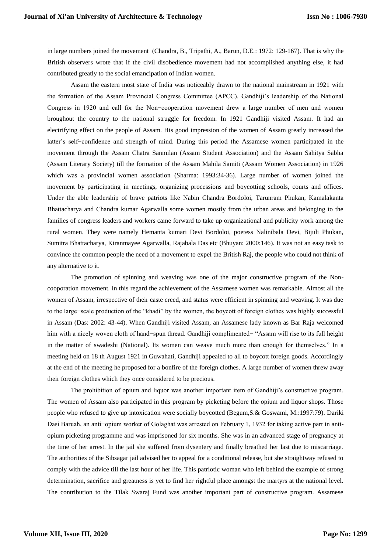in large numbers joined the movement (Chandra, B., Tripathi, A., Barun, D.E.: 1972: 129-167). That is why the British observers wrote that if the civil disobedience movement had not accomplished anything else, it had contributed greatly to the social emancipation of Indian women.

Assam the eastern most state of India was noticeably drawn to the national mainstream in 1921 with the formation of the Assam Provincial Congress Committee (APCC). Gandhiji's leadership of the National Congress in 1920 and call for the Non−cooperation movement drew a large number of men and women broughout the country to the national struggle for freedom. In 1921 Gandhiji visited Assam. It had an electrifying effect on the people of Assam. His good impression of the women of Assam greatly increased the latter's self−confidence and strength of mind. During this period the Assamese women participated in the movement through the Assam Chatra Sanmilan (Assam Student Association) and the Assam Sahitya Sabha (Assam Literary Society) till the formation of the Assam Mahila Samiti (Assam Women Association) in 1926 which was a provincial women association (Sharma: 1993:34-36). Large number of women joined the movement by participating in meetings, organizing processions and boycotting schools, courts and offices. Under the able leadership of brave patriots like Nabin Chandra Bordoloi, Tarunram Phukan, Kamalakanta Bhattacharya and Chandra kumar Agarwalla some women mostly from the urban areas and belonging to the families of congress leaders and workers came forward to take up organizational and publicity work among the rural women. They were namely Hemanta kumari Devi Bordoloi, poetess Nalinibala Devi, Bijuli Phukan, Sumitra Bhattacharya, Kiranmayee Agarwalla, Rajabala Das etc (Bhuyan: 2000:146). It was not an easy task to convince the common people the need of a movement to expel the British Raj, the people who could not think of any alternative to it.

The promotion of spinning and weaving was one of the major constructive program of the Noncooporation movement. In this regard the achievement of the Assamese women was remarkable. Almost all the women of Assam, irrespective of their caste creed, and status were efficient in spinning and weaving. It was due to the large−scale production of the "khadi" by the women, the boycott of foreign clothes was highly successful in Assam (Das: 2002: 43-44). When Gandhiji visited Assam, an Assamese lady known as Bar Raja welcomed him with a nicely woven cloth of hand−spun thread. Gandhiji complimented− "Assam will rise to its full height in the matter of swadeshi (National). Its women can weave much more than enough for themselves." In a meeting held on 18 th August 1921 in Guwahati, Gandhiji appealed to all to boycott foreign goods. Accordingly at the end of the meeting he proposed for a bonfire of the foreign clothes. A large number of women threw away their foreign clothes which they once considered to be precious.

The prohibition of opium and liquor was another important item of Gandhiji's constructive program. The women of Assam also participated in this program by picketing before the opium and liquor shops. Those people who refused to give up intoxication were socially boycotted (Begum,S.& Goswami, M.:1997:79). Dariki Dasi Baruah, an anti−opium worker of Golaghat was arrested on February 1, 1932 for taking active part in antiopium picketing programme and was imprisoned for six months. She was in an advanced stage of pregnancy at the time of her arrest. In the jail she suffered from dysentery and finally breathed her last due to miscarriage. The authorities of the Sibsagar jail advised her to appeal for a conditional release, but she straightway refused to comply with the advice till the last hour of her life. This patriotic woman who left behind the example of strong determination, sacrifice and greatness is yet to find her rightful place amongst the martyrs at the national level. The contribution to the Tilak Swaraj Fund was another important part of constructive program. Assamese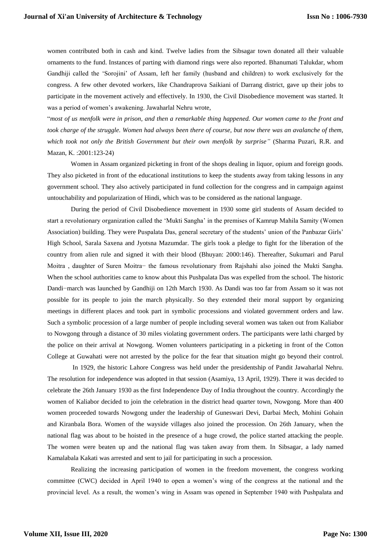women contributed both in cash and kind. Twelve ladies from the Sibsagar town donated all their valuable ornaments to the fund. Instances of parting with diamond rings were also reported. Bhanumati Talukdar, whom Gandhiji called the 'Sorojini' of Assam, left her family (husband and children) to work exclusively for the congress. A few other devoted workers, like Chandraprova Saikiani of Darrang district, gave up their jobs to participate in the movement actively and effectively. In 1930, the Civil Disobedience movement was started. It was a period of women's awakening. Jawaharlal Nehru wrote,

"*most of us menfolk were in prison, and then a remarkable thing happened. Our women came to the front and took charge of the struggle. Women had always been there of course, but now there was an avalanche of them, which took not only the British Government but their own menfolk by surprise"* (Sharma Puzari, R.R. and Mazan, K. :2001:123-24)

Women in Assam organized picketing in front of the shops dealing in liquor, opium and foreign goods. They also picketed in front of the educational institutions to keep the students away from taking lessons in any government school. They also actively participated in fund collection for the congress and in campaign against untouchability and popularization of Hindi, which was to be considered as the national language.

During the period of Civil Disobedience movement in 1930 some girl students of Assam decided to start a revolutionary organization called the 'Mukti Sangha' in the premises of Kamrup Mahila Samity (Women Association) building. They were Puspalata Das, general secretary of the students' union of the Panbazar Girls' High School, Sarala Saxena and Jyotsna Mazumdar. The girls took a pledge to fight for the liberation of the country from alien rule and signed it with their blood (Bhuyan: 2000:146). Thereafter, Sukumari and Parul Moitra , daughter of Suren Moitra− the famous revolutionary from Rajshahi also joined the Mukti Sangha. When the school authorities came to know about this Pushpalata Das was expelled from the school. The historic Dandi−march was launched by Gandhiji on 12th March 1930. As Dandi was too far from Assam so it was not possible for its people to join the march physically. So they extended their moral support by organizing meetings in different places and took part in symbolic processions and violated government orders and law. Such a symbolic procession of a large number of people including several women was taken out from Kaliabor to Nowgong through a distance of 30 miles violating government orders. The participants were lathi charged by the police on their arrival at Nowgong. Women volunteers participating in a picketing in front of the Cotton College at Guwahati were not arrested by the police for the fear that situation might go beyond their control.

In 1929, the historic Lahore Congress was held under the presidentship of Pandit Jawaharlal Nehru. The resolution for independence was adopted in that session (Asamiya, 13 April, 1929). There it was decided to celebrate the 26th January 1930 as the first Independence Day of India throughout the country. Accordingly the women of Kaliabor decided to join the celebration in the district head quarter town, Nowgong. More than 400 women proceeded towards Nowgong under the leadership of Guneswari Devi, Darbai Mech, Mohini Gohain and Kiranbala Bora. Women of the wayside villages also joined the procession. On 26th January, when the national flag was about to be hoisted in the presence of a huge crowd, the police started attacking the people. The women were beaten up and the national flag was taken away from them. In Sibsagar, a lady named Kamalabala Kakati was arrested and sent to jail for participating in such a procession.

Realizing the increasing participation of women in the freedom movement, the congress working committee (CWC) decided in April 1940 to open a women's wing of the congress at the national and the provincial level. As a result, the women's wing in Assam was opened in September 1940 with Pushpalata and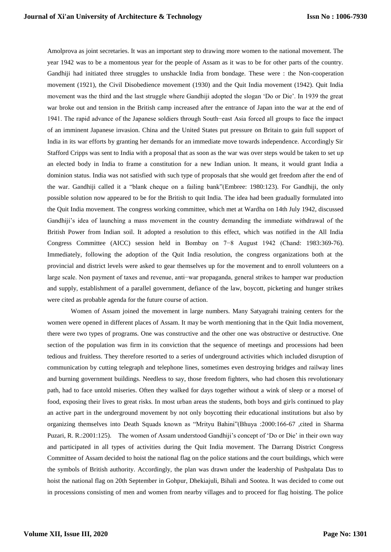Amolprova as joint secretaries. It was an important step to drawing more women to the national movement. The year 1942 was to be a momentous year for the people of Assam as it was to be for other parts of the country. Gandhiji had initiated three struggles to unshackle India from bondage. These were : the Non-cooperation movement (1921), the Civil Disobedience movement (1930) and the Quit India movement (1942). Quit India movement was the third and the last struggle where Gandhiji adopted the slogan 'Do or Die'. In 1939 the great war broke out and tension in the British camp increased after the entrance of Japan into the war at the end of 1941. The rapid advance of the Japanese soldiers through South−east Asia forced all groups to face the impact of an imminent Japanese invasion. China and the United States put pressure on Britain to gain full support of India in its war efforts by granting her demands for an immediate move towards independence. Accordingly Sir Stafford Cripps was sent to India with a proposal that as soon as the war was over steps would be taken to set up an elected body in India to frame a constitution for a new Indian union. It means, it would grant India a dominion status. India was not satisfied with such type of proposals that she would get freedom after the end of the war. Gandhiji called it a "blank cheque on a failing bank"(Embree: 1980:123). For Gandhiji, the only possible solution now appeared to be for the British to quit India. The idea had been gradually formulated into the Quit India movement. The congress working committee, which met at Wardha on 14th July 1942, discussed Gandhiji's idea of launching a mass movement in the country demanding the immediate withdrawal of the British Power from Indian soil. It adopted a resolution to this effect, which was notified in the All India Congress Committee (AICC) session held in Bombay on 7−8 August 1942 (Chand: 1983:369-76). Immediately, following the adoption of the Quit India resolution, the congress organizations both at the provincial and district levels were asked to gear themselves up for the movement and to enroll volunteers on a large scale. Non payment of taxes and revenue, anti−war propaganda, general strikes to hamper war production and supply, establishment of a parallel government, defiance of the law, boycott, picketing and hunger strikes were cited as probable agenda for the future course of action.

Women of Assam joined the movement in large numbers. Many Satyagrahi training centers for the women were opened in different places of Assam. It may be worth mentioning that in the Quit India movement, there were two types of programs. One was constructive and the other one was obstructive or destructive. One section of the population was firm in its conviction that the sequence of meetings and processions had been tedious and fruitless. They therefore resorted to a series of underground activities which included disruption of communication by cutting telegraph and telephone lines, sometimes even destroying bridges and railway lines and burning government buildings. Needless to say, those freedom fighters, who had chosen this revolutionary path, had to face untold miseries. Often they walked for days together without a wink of sleep or a morsel of food, exposing their lives to great risks. In most urban areas the students, both boys and girls continued to play an active part in the underground movement by not only boycotting their educational institutions but also by organizing themselves into Death Squads known as "Mrityu Bahini"(Bhuya :2000:166-67 ,cited in Sharma Puzari, R. R.:2001:125). The women of Assam understood Gandhiji's concept of 'Do or Die' in their own way and participated in all types of activities during the Quit India movement. The Darrang District Congress Committee of Assam decided to hoist the national flag on the police stations and the court buildings, which were the symbols of British authority. Accordingly, the plan was drawn under the leadership of Pushpalata Das to hoist the national flag on 20th September in Gohpur, Dhekiajuli, Bihali and Sootea. It was decided to come out in processions consisting of men and women from nearby villages and to proceed for flag hoisting. The police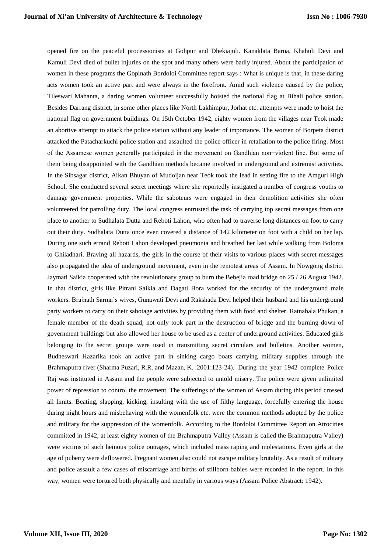opened fire on the peaceful processionists at Gohpur and Dhekiajuli. Kanaklata Barua, Khahuli Devi and Kamuli Devi died of bullet injuries on the spot and many others were badly injured. About the participation of women in these programs the Gopinath Bordoloi Committee report says : What is unique is that, in these daring acts women took an active part and were always in the forefront. Amid such violence caused by the police, Tileswari Mahanta, a daring women volunteer successfully hoisted the national flag at Bihali police station. Besides Darrang district, in some other places like North Lakhimpur, Jorhat etc. attempts were made to hoist the national flag on government buildings. On 15th October 1942, eighty women from the villages near Teok made an abortive attempt to attack the police station without any leader of importance. The women of Borpeta district attacked the Patacharkuchi police station and assaulted the police officer in retaliation to the police firing. Most of the Assamese women generally participated in the movement on Gandhian non−violent line. But some of them being disappointed with the Gandhian methods became involved in underground and extremist activities. In the Sibsagar district, Aikan Bhuyan of Mudoijan near Teok took the lead in setting fire to the Amguri High School. She conducted several secret meetings where she reportedly instigated a number of congress youths to damage government properties. While the saboteurs were engaged in their demolition activities she often volunteered for patrolling duty. The local congress entrusted the task of carrying top secret messages from one place to another to Sudhalata Dutta and Reboti Lahon, who often had to traverse long distances on foot to carry out their duty. Sudhalata Dutta once even covered a distance of 142 kilometer on foot with a child on her lap. During one such errand Reboti Lahon developed pneumonia and breathed her last while walking from Boloma to Ghiladhari. Braving all hazards, the girls in the course of their visits to various places with secret messages also propagated the idea of underground movement, even in the remotest areas of Assam. In Nowgong district Jaymati Saikia cooperated with the revolutionary group to burn the Bebejia road bridge on 25 / 26 August 1942. In that district, girls like Pitrani Saikia and Dagati Bora worked for the security of the underground male workers. Brajnath Sarma's wives, Gunawati Devi and Rakshada Devi helped their husband and his underground party workers to carry on their sabotage activities by providing them with food and shelter. Ratnabala Phukan, a female member of the death squad, not only took part in the destruction of bridge and the burning down of government buildings but also allowed her house to be used as a center of underground activities. Educated girls belonging to the secret groups were used in transmitting secret circulars and bulletins. Another women, Budheswari Hazarika took an active part in sinking cargo boats carrying military supplies through the Brahmaputra river (Sharma Puzari, R.R. and Mazan, K. :2001:123-24). During the year 1942 complete Police Raj was instituted in Assam and the people were subjected to untold misery. The police were given unlimited power of repression to control the movement. The sufferings of the women of Assam during this period crossed all limits. Beating, slapping, kicking, insulting with the use of filthy language, forcefully entering the house during night hours and misbehaving with the womenfolk etc. were the common methods adopted by the police and military for the suppression of the womenfolk. According to the Bordoloi Committee Report on Atrocities committed in 1942, at least eighty women of the Brahmaputra Valley (Assam is called the Brahmaputra Valley) were victims of such heinous police outrages, which included mass raping and molestations. Even girls at the age of puberty were deflowered. Pregnant women also could not escape military brutality. As a result of military and police assault a few cases of miscarriage and births of stillborn babies were recorded in the report. In this way, women were tortured both physically and mentally in various ways (Assam Police Abstract: 1942).